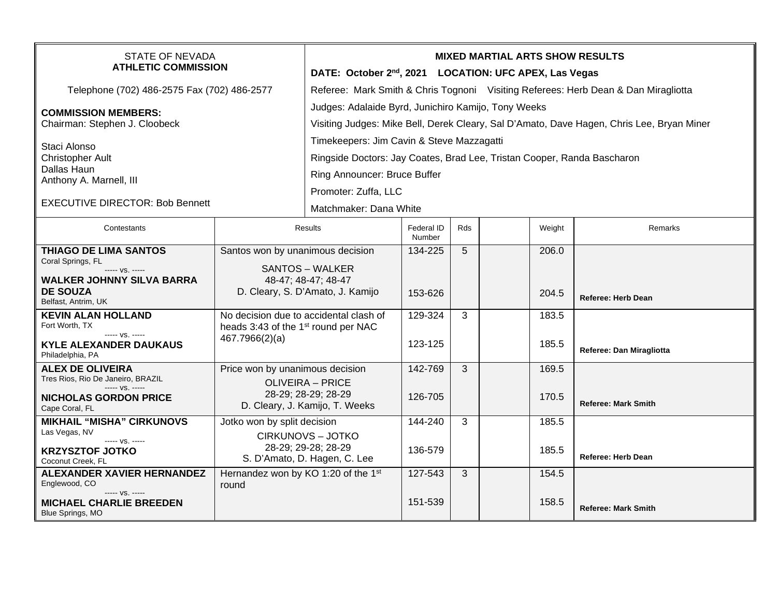| <b>STATE OF NEVADA</b><br><b>ATHLETIC COMMISSION</b>                       |                                                                                                                     | <b>MIXED MARTIAL ARTS SHOW RESULTS</b><br>DATE: October 2 <sup>nd</sup> , 2021 LOCATION: UFC APEX, Las Vegas                                     |                      |     |  |        |                            |  |
|----------------------------------------------------------------------------|---------------------------------------------------------------------------------------------------------------------|--------------------------------------------------------------------------------------------------------------------------------------------------|----------------------|-----|--|--------|----------------------------|--|
| Telephone (702) 486-2575 Fax (702) 486-2577                                |                                                                                                                     | Referee: Mark Smith & Chris Tognoni Visiting Referees: Herb Dean & Dan Miragliotta                                                               |                      |     |  |        |                            |  |
| <b>COMMISSION MEMBERS:</b><br>Chairman: Stephen J. Cloobeck                |                                                                                                                     | Judges: Adalaide Byrd, Junichiro Kamijo, Tony Weeks<br>Visiting Judges: Mike Bell, Derek Cleary, Sal D'Amato, Dave Hagen, Chris Lee, Bryan Miner |                      |     |  |        |                            |  |
| Staci Alonso                                                               |                                                                                                                     | Timekeepers: Jim Cavin & Steve Mazzagatti                                                                                                        |                      |     |  |        |                            |  |
| <b>Christopher Ault</b>                                                    |                                                                                                                     | Ringside Doctors: Jay Coates, Brad Lee, Tristan Cooper, Randa Bascharon                                                                          |                      |     |  |        |                            |  |
| Dallas Haun<br>Anthony A. Marnell, III                                     |                                                                                                                     | Ring Announcer: Bruce Buffer                                                                                                                     |                      |     |  |        |                            |  |
|                                                                            |                                                                                                                     | Promoter: Zuffa, LLC                                                                                                                             |                      |     |  |        |                            |  |
| <b>EXECUTIVE DIRECTOR: Bob Bennett</b>                                     |                                                                                                                     | Matchmaker: Dana White                                                                                                                           |                      |     |  |        |                            |  |
| Contestants                                                                |                                                                                                                     | Results                                                                                                                                          | Federal ID<br>Number | Rds |  | Weight | Remarks                    |  |
| <b>THIAGO DE LIMA SANTOS</b><br>Coral Springs, FL                          | Santos won by unanimous decision                                                                                    |                                                                                                                                                  | 134-225              | 5   |  | 206.0  |                            |  |
| ----- VS. -----                                                            |                                                                                                                     | <b>SANTOS – WALKER</b>                                                                                                                           |                      |     |  |        |                            |  |
| <b>WALKER JOHNNY SILVA BARRA</b><br><b>DE SOUZA</b><br>Belfast, Antrim, UK | 48-47; 48-47; 48-47<br>D. Cleary, S. D'Amato, J. Kamijo                                                             |                                                                                                                                                  | 153-626              |     |  | 204.5  | <b>Referee: Herb Dean</b>  |  |
| <b>KEVIN ALAN HOLLAND</b><br>Fort Worth, TX                                | No decision due to accidental clash of<br>heads 3:43 of the 1 <sup>st</sup> round per NAC                           |                                                                                                                                                  | 129-324              | 3   |  | 183.5  |                            |  |
| ----- VS. -----<br><b>KYLE ALEXANDER DAUKAUS</b><br>Philadelphia, PA       | 467.7966(2)(a)                                                                                                      |                                                                                                                                                  | 123-125              |     |  | 185.5  | Referee: Dan Miragliotta   |  |
| <b>ALEX DE OLIVEIRA</b><br>Tres Rios, Rio De Janeiro, BRAZIL               | Price won by unanimous decision<br><b>OLIVEIRA - PRICE</b><br>28-29; 28-29; 28-29<br>D. Cleary, J. Kamijo, T. Weeks |                                                                                                                                                  | 142-769              | 3   |  | 169.5  |                            |  |
| $--- VS. ---$<br><b>NICHOLAS GORDON PRICE</b><br>Cape Coral, FL            |                                                                                                                     |                                                                                                                                                  | 126-705              |     |  | 170.5  | <b>Referee: Mark Smith</b> |  |
| <b>MIKHAIL "MISHA" CIRKUNOVS</b><br>Las Vegas, NV                          | Jotko won by split decision                                                                                         |                                                                                                                                                  | 144-240              | 3   |  | 185.5  |                            |  |
| ----- VS. -----<br><b>KRZYSZTOF JOTKO</b><br>Coconut Creek, FL             | <b>CIRKUNOVS - JOTKO</b><br>28-29; 29-28; 28-29<br>S. D'Amato, D. Hagen, C. Lee                                     |                                                                                                                                                  | 136-579              |     |  | 185.5  | <b>Referee: Herb Dean</b>  |  |
| <b>ALEXANDER XAVIER HERNANDEZ</b><br>Englewood, CO                         | Hernandez won by KO 1:20 of the 1st<br>round                                                                        |                                                                                                                                                  | 127-543              | 3   |  | 154.5  |                            |  |
| ----- VS. -----<br><b>MICHAEL CHARLIE BREEDEN</b><br>Blue Springs, MO      |                                                                                                                     |                                                                                                                                                  | 151-539              |     |  | 158.5  | <b>Referee: Mark Smith</b> |  |